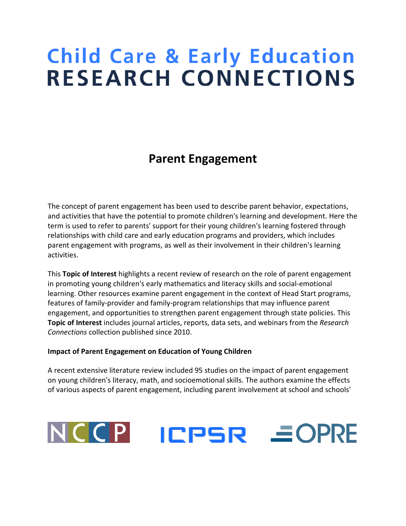# **Child Care & Early Education RESEARCH CONNECTIONS**

# **Parent Engagement**

The concept of parent engagement has been used to describe parent behavior, expectations, and activities that have the potential to promote children's learning and development. Here the term is used to refer to parents' support for their young children's learning fostered through relationships with child care and early education programs and providers, which includes parent engagement with programs, as well as their involvement in their children's learning activities.

This **Topic of Interest** highlights a recent review of research on the role of parent engagement in promoting young children's early mathematics and literacy skills and social-emotional learning. Other resources examine parent engagement in the context of Head Start programs, features of family-provider and family-program relationships that may influence parent engagement, and opportunities to strengthen parent engagement through state policies. This **Topic of Interest** includes journal articles, reports, data sets, and webinars from the *Research Connections* collection published since 2010.

#### **Impact of Parent Engagement on Education of Young Children**

A recent extensive literature review included 95 studies on the impact of parent engagement on young children's literacy, math, and socioemotional skills. The authors examine the effects of various aspects of parent engagement, including parent involvement at school and schools'

# NCCP **ICPSR EOPRE**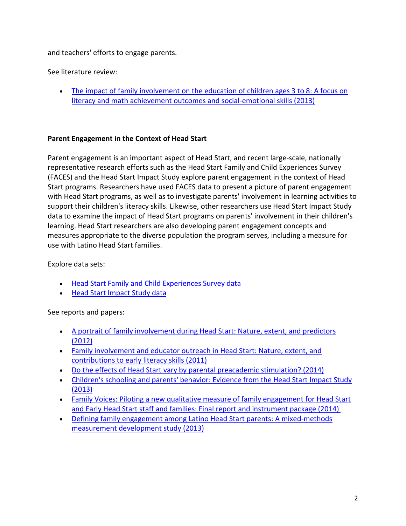#### and teachers' efforts to engage parents.

See literature review:

• [The impact of family involvement on the education of children ages 3 to 8: A focus on](http://www.researchconnections.org/childcare/resources/26560)  [literacy and math achievement outcomes and social-emotional skills \(2013\)](http://www.researchconnections.org/childcare/resources/26560)

## **Parent Engagement in the Context of Head Start**

Parent engagement is an important aspect of Head Start, and recent large-scale, nationally representative research efforts such as the Head Start Family and Child Experiences Survey (FACES) and the Head Start Impact Study explore parent engagement in the context of Head Start programs. Researchers have used FACES data to present a picture of parent engagement with Head Start programs, as well as to investigate parents' involvement in learning activities to support their children's literacy skills. Likewise, other researchers use Head Start Impact Study data to examine the impact of Head Start programs on parents' involvement in their children's learning. Head Start researchers are also developing parent engagement concepts and measures appropriate to the diverse population the program serves, including a measure for use with Latino Head Start families.

Explore data sets:

- [Head Start Family and Child Experiences Survey data](http://www.researchconnections.org/childcare/studies/4149)
- [Head Start Impact Study data](http://www.researchconnections.org/childcare/studies/29462)

See reports and papers:

- [A portrait of family involvement during Head Start: Nature, extent, and predictors](http://www.researchconnections.org/childcare/resources/24492)  [\(2012\)](http://www.researchconnections.org/childcare/resources/24492)
- [Family involvement and educator outreach in Head Start: Nature, extent, and](http://www.researchconnections.org/childcare/resources/21136)  [contributions to early literacy skills \(2011\)](http://www.researchconnections.org/childcare/resources/21136)
- [Do the effects of Head Start vary by parental preacademic stimulation? \(2014\)](http://www.researchconnections.org/childcare/resources/27036)
- Children's schooling and parents' behavior: Evidence from the Head Start Impact Study [\(2013\)](http://www.researchconnections.org/childcare/resources/25680)
- [Family Voices: Piloting a new qualitative measure of family engagement for Head Start](http://www.researchconnections.org/childcare/resources/27342)  [and Early Head Start staff and families: Final report and instrument package \(2014\)](http://www.researchconnections.org/childcare/resources/27342)
- [Defining family engagement among Latino Head Start parents: A mixed-methods](http://www.researchconnections.org/childcare/resources/25998)  [measurement development study \(2013\)](http://www.researchconnections.org/childcare/resources/25998)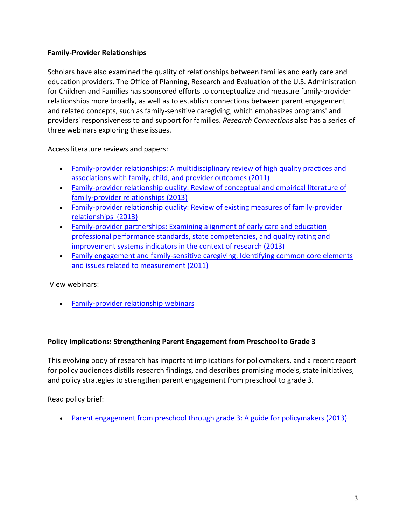## **Family-Provider Relationships**

Scholars have also examined the quality of relationships between families and early care and education providers. The Office of Planning, Research and Evaluation of the U.S. Administration for Children and Families has sponsored efforts to conceptualize and measure family-provider relationships more broadly, as well as to establish connections between parent engagement and related concepts, such as family-sensitive caregiving, which emphasizes programs' and providers' responsiveness to and support for families. *Research Connections* also has a series of three webinars exploring these issues.

Access literature reviews and papers:

- [Family-provider relationships: A multidisciplinary review of high quality practices and](http://www.researchconnections.org/childcare/resources/22297)  [associations with family, child, and provider outcomes \(2011\)](http://www.researchconnections.org/childcare/resources/22297)
- [Family-provider relationship quality: Review of conceptual and empirical literature of](http://www.researchconnections.org/childcare/resources/24512)  [family-provider relationships \(2013\)](http://www.researchconnections.org/childcare/resources/24512)
- [Family-provider relationship quality: Review of existing measures of family-provider](http://www.researchconnections.org/childcare/resources/24513)  [relationships](http://www.researchconnections.org/childcare/resources/24513) (2013)
- [Family-provider partnerships: Examining alignment of](http://www.researchconnections.org/childcare/resources/26975) early care and education [professional performance standards, state competencies, and quality rating and](http://www.researchconnections.org/childcare/resources/26975)  [improvement systems indicators in the context of research \(2013\)](http://www.researchconnections.org/childcare/resources/26975)
- [Family engagement and family-sensitive caregiving: Identifying common core elements](http://www.researchconnections.org/childcare/resources/22296)  [and issues related to measurement \(2011\)](http://www.researchconnections.org/childcare/resources/22296)

View webinars:

• [Family-provider relationship webinars](http://www.researchconnections.org/content/childcare/connect/webinars.html)

#### **Policy Implications: Strengthening Parent Engagement from Preschool to Grade 3**

This evolving body of research has important implications for policymakers, and a recent report for policy audiences distills research findings, and describes promising models, state initiatives, and policy strategies to strengthen parent engagement from preschool to grade 3.

Read policy brief:

• [Parent engagement from preschool through grade 3: A](http://www.researchconnections.org/childcare/resources/26438) guide for policymakers (2013)